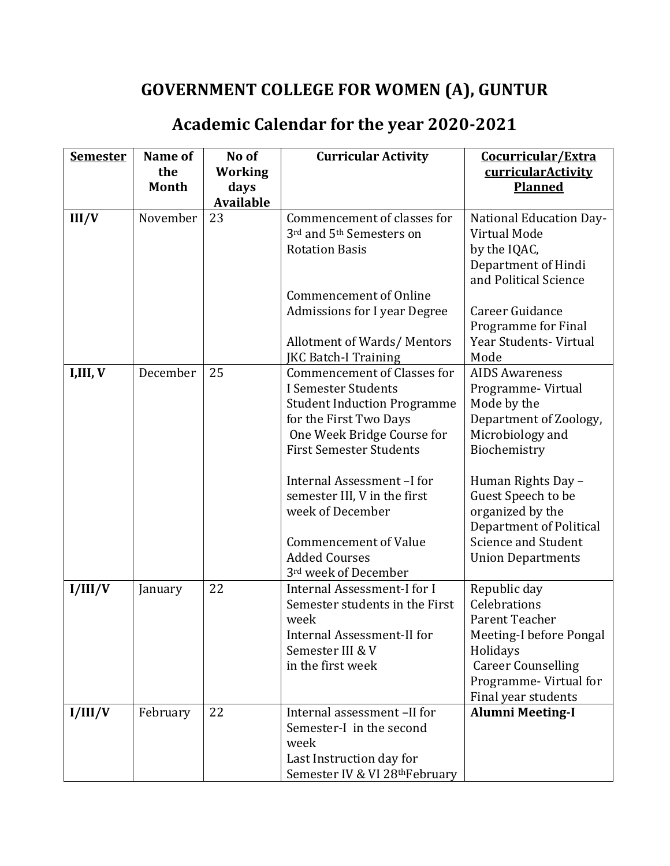## **GOVERNMENT COLLEGE FOR WOMEN (A), GUNTUR**

## **Academic Calendar for the year 2020-2021**

| <b>Semester</b> | Name of      | No of            | <b>Curricular Activity</b>           | Cocurricular/Extra                           |
|-----------------|--------------|------------------|--------------------------------------|----------------------------------------------|
|                 | the          | <b>Working</b>   |                                      | curricularActivity                           |
|                 | <b>Month</b> | days             |                                      | <b>Planned</b>                               |
|                 |              | <b>Available</b> |                                      |                                              |
| II/V            | November     | 23               | Commencement of classes for          | <b>National Education Day-</b>               |
|                 |              |                  | 3rd and 5 <sup>th</sup> Semesters on | Virtual Mode                                 |
|                 |              |                  | <b>Rotation Basis</b>                | by the IQAC,                                 |
|                 |              |                  |                                      | Department of Hindi                          |
|                 |              |                  |                                      | and Political Science                        |
|                 |              |                  | <b>Commencement of Online</b>        |                                              |
|                 |              |                  | <b>Admissions for I year Degree</b>  | Career Guidance                              |
|                 |              |                  |                                      | Programme for Final                          |
|                 |              |                  | <b>Allotment of Wards/ Mentors</b>   | Year Students- Virtual                       |
|                 |              |                  | <b>JKC Batch-I Training</b>          | Mode                                         |
| I,III, V        | December     | 25               | <b>Commencement of Classes for</b>   | <b>AIDS Awareness</b>                        |
|                 |              |                  | I Semester Students                  | Programme-Virtual                            |
|                 |              |                  | <b>Student Induction Programme</b>   | Mode by the                                  |
|                 |              |                  | for the First Two Days               | Department of Zoology,                       |
|                 |              |                  | One Week Bridge Course for           | Microbiology and                             |
|                 |              |                  | <b>First Semester Students</b>       | Biochemistry                                 |
|                 |              |                  | Internal Assessment-I for            | Human Rights Day -                           |
|                 |              |                  | semester III, V in the first         | Guest Speech to be                           |
|                 |              |                  | week of December                     | organized by the                             |
|                 |              |                  |                                      | Department of Political                      |
|                 |              |                  | <b>Commencement of Value</b>         | <b>Science and Student</b>                   |
|                 |              |                  | <b>Added Courses</b>                 | <b>Union Departments</b>                     |
|                 |              |                  | 3rd week of December                 |                                              |
| I/III/V         | January      | 22               | Internal Assessment-I for I          | Republic day                                 |
|                 |              |                  | Semester students in the First       | Celebrations                                 |
|                 |              |                  | week                                 | Parent Teacher                               |
|                 |              |                  | <b>Internal Assessment-II for</b>    | Meeting-I before Pongal                      |
|                 |              |                  | Semester III & V                     | Holidays                                     |
|                 |              |                  | in the first week                    | <b>Career Counselling</b>                    |
|                 |              |                  |                                      | Programme-Virtual for<br>Final year students |
| I/III/V         | February     | 22               | Internal assessment -II for          | <b>Alumni Meeting-I</b>                      |
|                 |              |                  | Semester-I in the second             |                                              |
|                 |              |                  | week                                 |                                              |
|                 |              |                  | Last Instruction day for             |                                              |
|                 |              |                  | Semester IV & VI 28thFebruary        |                                              |
|                 |              |                  |                                      |                                              |